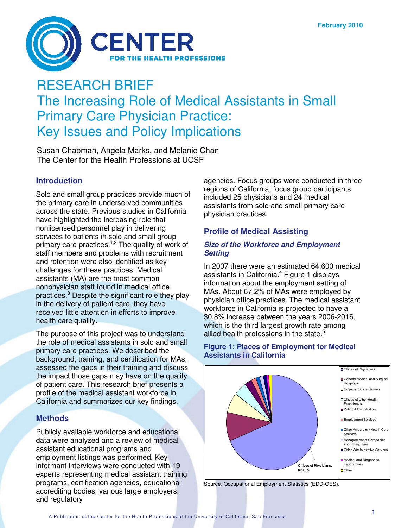

# RESEARCH BRIEF The Increasing Role of Medical Assistants in Small Primary Care Physician Practice: Key Issues and Policy Implications

Susan Chapman, Angela Marks, and Melanie Chan The Center for the Health Professions at UCSF

# **Introduction**

Solo and small group practices provide much of the primary care in underserved communities across the state. Previous studies in California have highlighted the increasing role that nonlicensed personnel play in delivering services to patients in solo and small group primary care practices.<sup>1,2</sup> The quality of work of staff members and problems with recruitment and retention were also identified as key challenges for these practices. Medical assistants (MA) are the most common nonphysician staff found in medical office practices. <sup>3</sup> Despite the significant role they play in the delivery of patient care, they have received little attention in efforts to improve health care quality.

The purpose of this project was to understand the role of medical assistants in solo and small primary care practices. We described the background, training, and certification for MAs, assessed the gaps in their training and discuss the impact those gaps may have on the quality of patient care. This research brief presents a profile of the medical assistant workforce in California and summarizes our key findings.

## **Methods**

Publicly available workforce and educational data were analyzed and a review of medical assistant educational programs and employment listings was performed. Key informant interviews were conducted with 19 experts representing medical assistant training programs, certification agencies, educational accrediting bodies, various large employers, and regulatory

agencies. Focus groups were conducted in three regions of California; focus group participants included 25 physicians and 24 medical assistants from solo and small primary care physician practices.

## **Profile of Medical Assisting**

#### *Size of the Workforce and Employment Setting*

In 2007 there were an estimated 64,600 medical assistants in California. <sup>4</sup> Figure 1 displays information about the employment setting of MAs. About 67.2% of MAs were employed by physician office practices. The medical assistant workforce in California is projected to have a 30.8% increase between the years 2006-2016, which is the third largest growth rate among allied health professions in the state.<sup>5</sup>

## **Figure 1: Places of Employment for Medical Assistants in California**



Source*:* Occupational Employment Statistics (EDD-OES).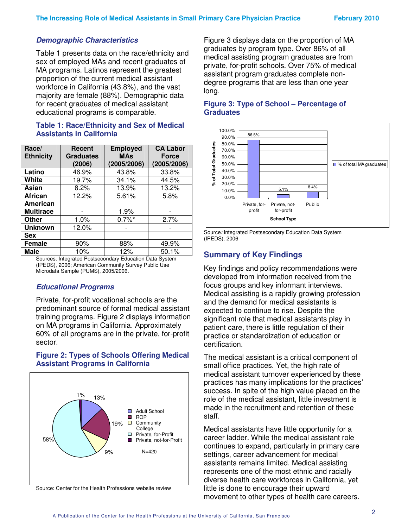## *Demographic Characteristics*

Table 1 presents data on the race/ethnicity and sex of employed MAs and recent graduates of MA programs. Latinos represent the greatest proportion of the current medical assistant workforce in California (43.8%), and the vast majority are female (88%). Demographic data for recent graduates of medical assistant educational programs is comparable.

#### **Table 1: Race/Ethnicity and Sex of Medical Assistants in California**

| Race/<br><b>Ethnicity</b> | Recent<br><b>Graduates</b><br>(2006) | <b>Employed</b><br><b>MAs</b><br>(2005/2006) | <b>CA Labor</b><br><b>Force</b><br>(2005/2006) |
|---------------------------|--------------------------------------|----------------------------------------------|------------------------------------------------|
| Latino                    | 46.9%                                | 43.8%                                        | 33.8%                                          |
| White                     | 19.7%                                | 34.1%                                        | 44.5%                                          |
| Asian                     | 8.2%                                 | 13.9%                                        | 13.2%                                          |
| <b>African</b>            | 12.2%                                | 5.61%                                        | 5.8%                                           |
| American                  |                                      |                                              |                                                |
| <b>Multirace</b>          |                                      | 1.9%                                         |                                                |
| Other                     | 1.0%                                 | $0.7\%$ <sup>*</sup>                         | 2.7%                                           |
| <b>Unknown</b>            | 12.0%                                |                                              |                                                |
| <b>Sex</b>                |                                      |                                              |                                                |
| <b>Female</b>             | 90%                                  | 88%                                          | 49.9%                                          |
| Male                      | 10%                                  | 12%                                          | 50.1%                                          |

Sources*:* Integrated Postsecondary Education Data System (IPEDS), 2006; American Community Survey Public Use Microdata Sample (PUMS), 2005/2006*.*

## *Educational Programs*

Private, for-profit vocational schools are the predominant source of formal medical assistant training programs. Figure 2 displays information on MA programs in California. Approximately 60% of all programs are in the private, for-profit sector.

#### **Figure 2: Types of Schools Offering Medical Assistant Programs in California**



Source: Center for the Health Professions website review

Figure 3 displays data on the proportion of MA graduates by program type. Over 86% of all medical assisting program graduates are from private, for-profit schools. Over 75% of medical assistant program graduates complete nondegree programs that are less than one year long.

#### **Figure 3: Type of School – Percentage of Graduates**



Source*:* Integrated Postsecondary Education Data System (IPEDS), 2006

## **Summary of Key Findings**

Key findings and policy recommendations were developed from information received from the focus groups and key informant interviews. Medical assisting is a rapidly growing profession and the demand for medical assistants is expected to continue to rise. Despite the significant role that medical assistants play in patient care, there is little regulation of their practice or standardization of education or certification.

The medical assistant is a critical component of small office practices. Yet, the high rate of medical assistant turnover experienced by these practices has many implications for the practices' success. In spite of the high value placed on the role of the medical assistant, little investment is made in the recruitment and retention of these staff.

Medical assistants have little opportunity for a career ladder. While the medical assistant role continues to expand, particularly in primary care settings, career advancement for medical assistants remains limited. Medical assisting represents one of the most ethnic and racially diverse health care workforces in California, yet little is done to encourage their upward movement to other types of health care careers.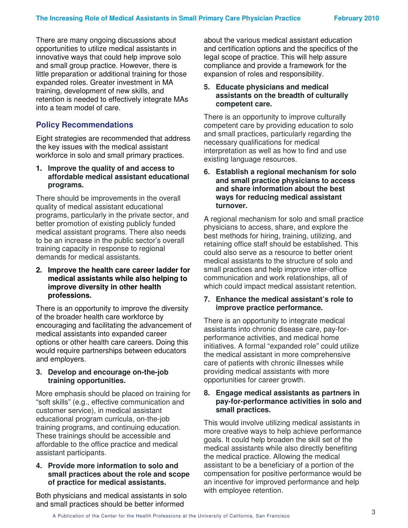There are many ongoing discussions about opportunities to utilize medical assistants in innovative ways that could help improve solo and small group practice. However, there is little preparation or additional training for those expanded roles. Greater investment in MA training, development of new skills, and retention is needed to effectively integrate MAs into a team model of care.

# **Policy Recommendations**

Eight strategies are recommended that address the key issues with the medical assistant workforce in solo and small primary practices.

**1. Improve the quality of and access to affordable medical assistant educational programs.**

There should be improvements in the overall quality of medical assistant educational programs, particularly in the private sector, and better promotion of existing publicly funded medical assistant programs. There also needs to be an increase in the public sector's overall training capacity in response to regional demands for medical assistants.

#### **2. Improve the health care career ladder for medical assistants while also helping to improve diversity in other health professions.**

There is an opportunity to improve the diversity of the broader health care workforce by encouraging and facilitating the advancement of medical assistants into expanded career options or other health care careers. Doing this would require partnerships between educators and employers.

## **3. Develop and encourage on-the-job training opportunities.**

More emphasis should be placed on training for "soft skills" (e.g., effective communication and customer service), in medical assistant educational program curricula, on-the-job training programs, and continuing education. These trainings should be accessible and affordable to the office practice and medical assistant participants.

#### **4. Provide more information to solo and small practices about the role and scope of practice for medical assistants.**

Both physicians and medical assistants in solo and small practices should be better informed

about the various medical assistant education and certification options and the specifics of the legal scope of practice. This will help assure compliance and provide a framework for the expansion of roles and responsibility.

## **5. Educate physicians and medical assistants on the breadth of culturally competent care.**

There is an opportunity to improve culturally competent care by providing education to solo and small practices, particularly regarding the necessary qualifications for medical interpretation as well as how to find and use existing language resources.

#### **6. Establish a regional mechanism for solo and small practice physicians to access and share information about the best ways for reducing medical assistant turnover.**

A regional mechanism for solo and small practice physicians to access, share, and explore the best methods for hiring, training, utilizing, and retaining office staff should be established. This could also serve as a resource to better orient medical assistants to the structure of solo and small practices and help improve inter-office communication and work relationships, all of which could impact medical assistant retention.

#### **7. Enhance the medical assistant's role to improve practice performance.**

There is an opportunity to integrate medical assistants into chronic disease care, pay-forperformance activities, and medical home initiatives. A formal "expanded role" could utilize the medical assistant in more comprehensive care of patients with chronic illnesses while providing medical assistants with more opportunities for career growth.

#### **8. Engage medical assistants as partners in pay-for-performance activities in solo and small practices.**

This would involve utilizing medical assistants in more creative ways to help achieve performance goals. It could help broaden the skill set of the medical assistants while also directly benefiting the medical practice. Allowing the medical assistant to be a beneficiary of a portion of the compensation for positive performance would be an incentive for improved performance and help with employee retention.